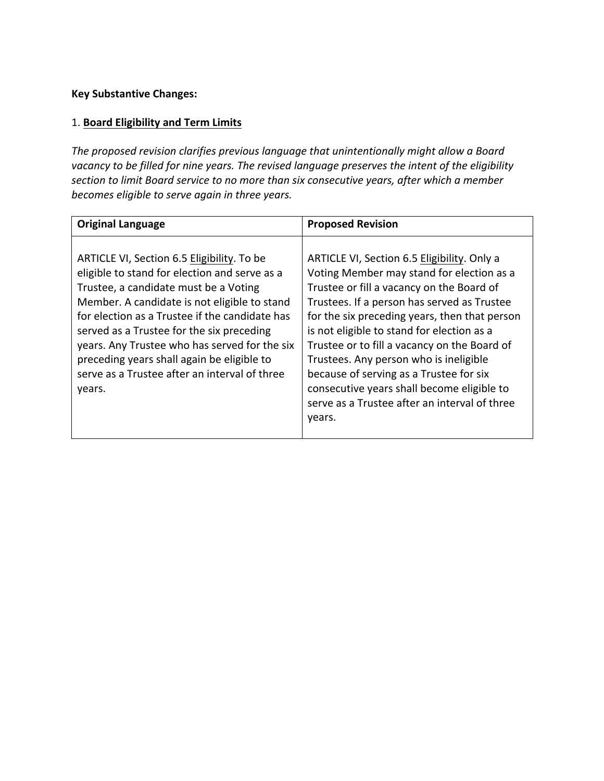## **Key Substantive Changes:**

## 1. **Board Eligibility and Term Limits**

The proposed revision clarifies previous language that unintentionally might allow a Board vacancy to be filled for nine years. The revised language preserves the intent of the eligibility section to limit Board service to no more than six consecutive years, after which a member becomes eligible to serve again in three years.

| <b>Original Language</b>                                                                                                                                                                                                                                                                                                                                                                                                                      | <b>Proposed Revision</b>                                                                                                                                                                                                                                                                                                                                                                                                                                                                                                          |
|-----------------------------------------------------------------------------------------------------------------------------------------------------------------------------------------------------------------------------------------------------------------------------------------------------------------------------------------------------------------------------------------------------------------------------------------------|-----------------------------------------------------------------------------------------------------------------------------------------------------------------------------------------------------------------------------------------------------------------------------------------------------------------------------------------------------------------------------------------------------------------------------------------------------------------------------------------------------------------------------------|
| ARTICLE VI, Section 6.5 Eligibility. To be<br>eligible to stand for election and serve as a<br>Trustee, a candidate must be a Voting<br>Member. A candidate is not eligible to stand<br>for election as a Trustee if the candidate has<br>served as a Trustee for the six preceding<br>years. Any Trustee who has served for the six<br>preceding years shall again be eligible to<br>serve as a Trustee after an interval of three<br>years. | ARTICLE VI, Section 6.5 Eligibility. Only a<br>Voting Member may stand for election as a<br>Trustee or fill a vacancy on the Board of<br>Trustees. If a person has served as Trustee<br>for the six preceding years, then that person<br>is not eligible to stand for election as a<br>Trustee or to fill a vacancy on the Board of<br>Trustees. Any person who is ineligible<br>because of serving as a Trustee for six<br>consecutive years shall become eligible to<br>serve as a Trustee after an interval of three<br>years. |